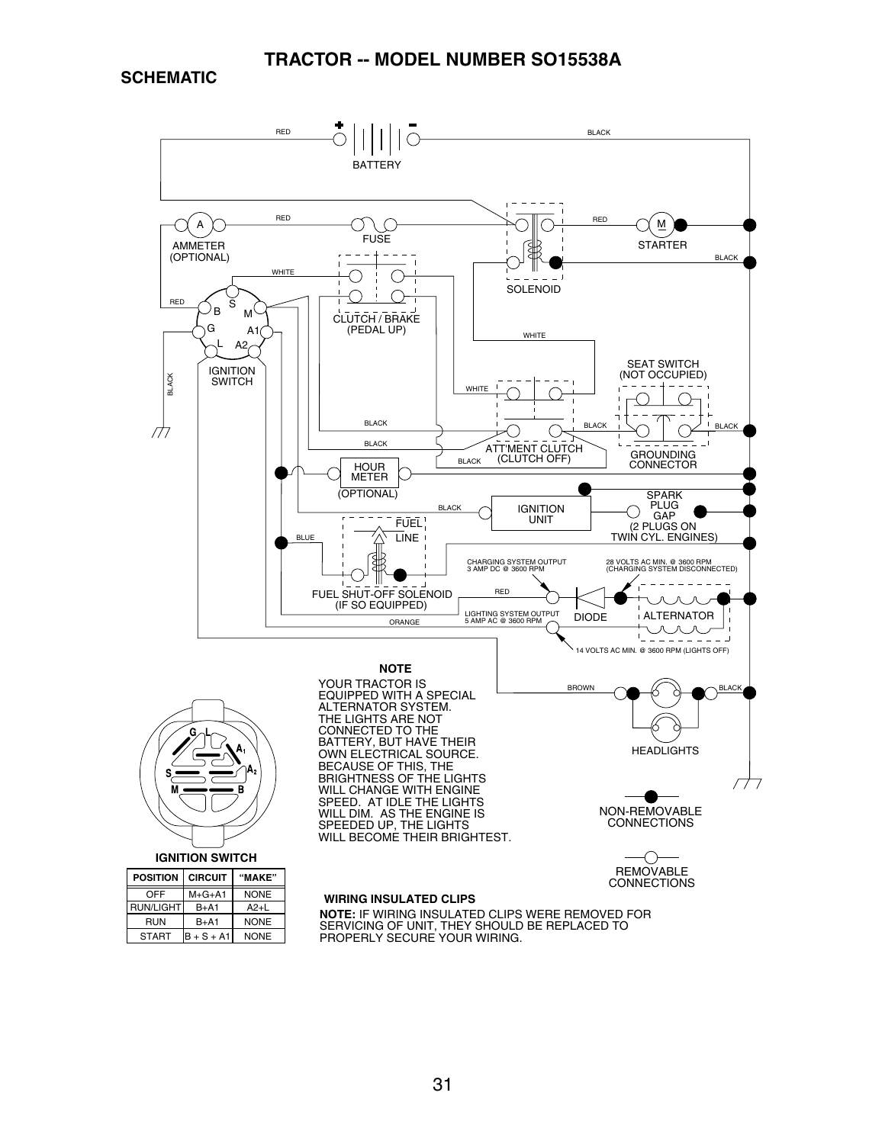**TRACTOR -- MODEL NUMBER SO15538A**

**SCHEMATIC**

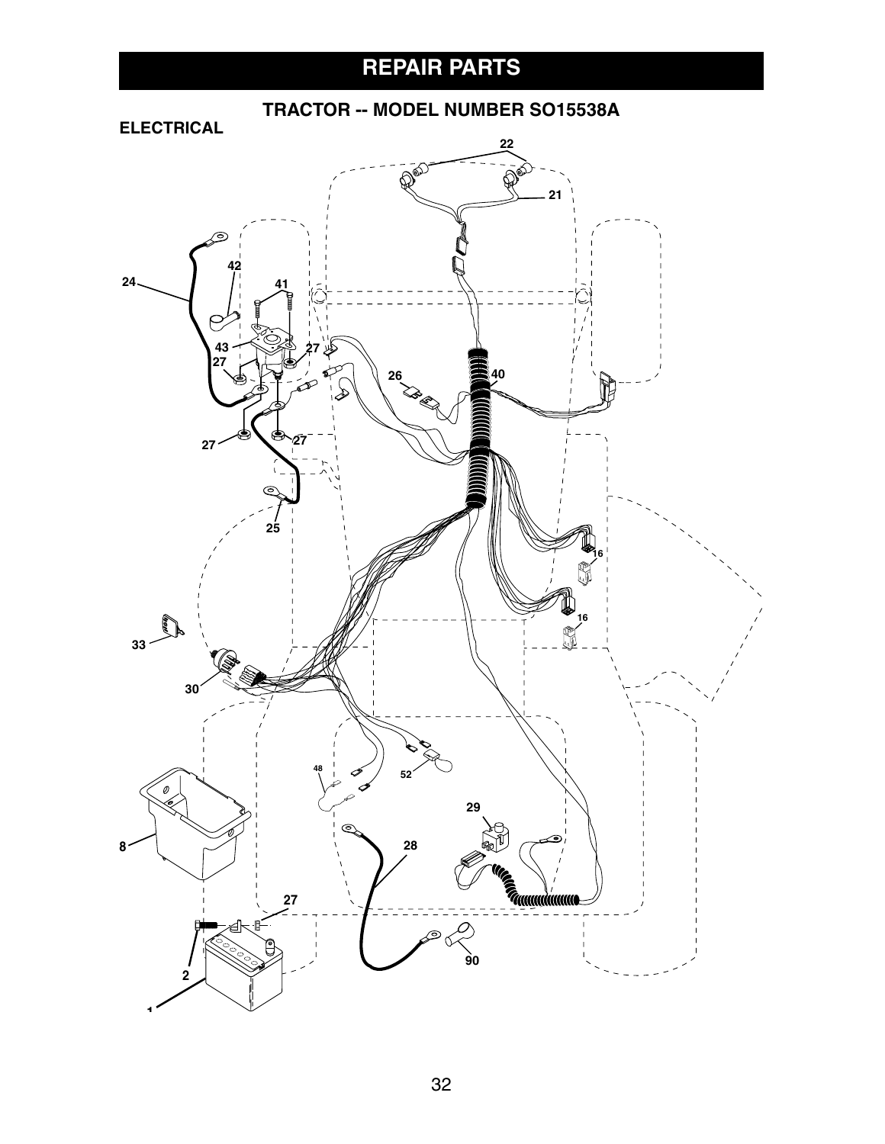# **REPAIR PARTS**

## **TRACTOR -- MODEL NUMBER SO15538A ELECTRICAL READ 26**<br>全文 **27** C Agost **UTE COMMUNISTRATIVE**  ₫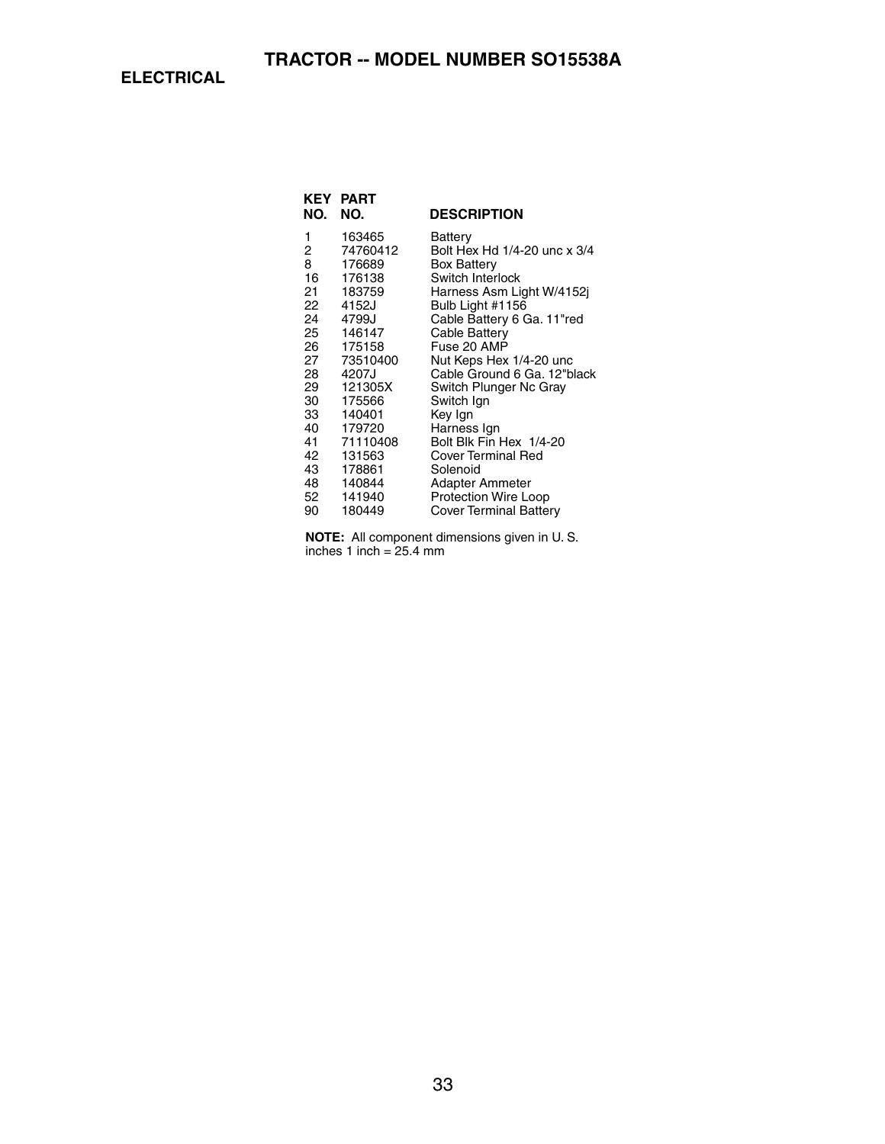| NO.                                                                                                               | <b>KEY PART</b><br>NO.                                                                                                                                                                                      | <b>DESCRIPTION</b>                                                                                                                                                                                                                                                                                                                                                                                                                   |
|-------------------------------------------------------------------------------------------------------------------|-------------------------------------------------------------------------------------------------------------------------------------------------------------------------------------------------------------|--------------------------------------------------------------------------------------------------------------------------------------------------------------------------------------------------------------------------------------------------------------------------------------------------------------------------------------------------------------------------------------------------------------------------------------|
| 1<br>2<br>8<br>16<br>21<br>22 —<br>24<br>25<br>27<br>28 —<br>29<br>30<br>33<br>40<br>41<br>42<br>43<br>48<br>52 — | 163465<br>74760412<br>176689<br>176138<br>183759<br>4152J<br>4799J<br>146147<br>26 175158<br>73510400<br>4207J<br>121305X<br>175566<br>140401<br>179720<br>71110408<br>131563<br>178861<br>140844<br>141940 | Battery<br>Bolt Hex Hd 1/4-20 unc x 3/4<br>Box Battery<br>Switch Interlock<br>Harness Asm Light W/4152j<br>Bulb Light #1156<br>Cable Battery 6 Ga. 11"red<br>Cable Battery<br>Fuse 20 AMP<br>Nut Keps Hex 1/4-20 unc<br>Cable Ground 6 Ga. 12"black<br>Switch Plunger Nc Gray<br>Switch Ign<br>Key Ign<br>Harness Ign<br>Bolt Blk Fin Hex 1/4-20<br>Cover Terminal Red<br>Solenoid<br>Adapter Ammeter<br><b>Protection Wire Loop</b> |
| 90                                                                                                                | 180449                                                                                                                                                                                                      | Cover Terminal Battery                                                                                                                                                                                                                                                                                                                                                                                                               |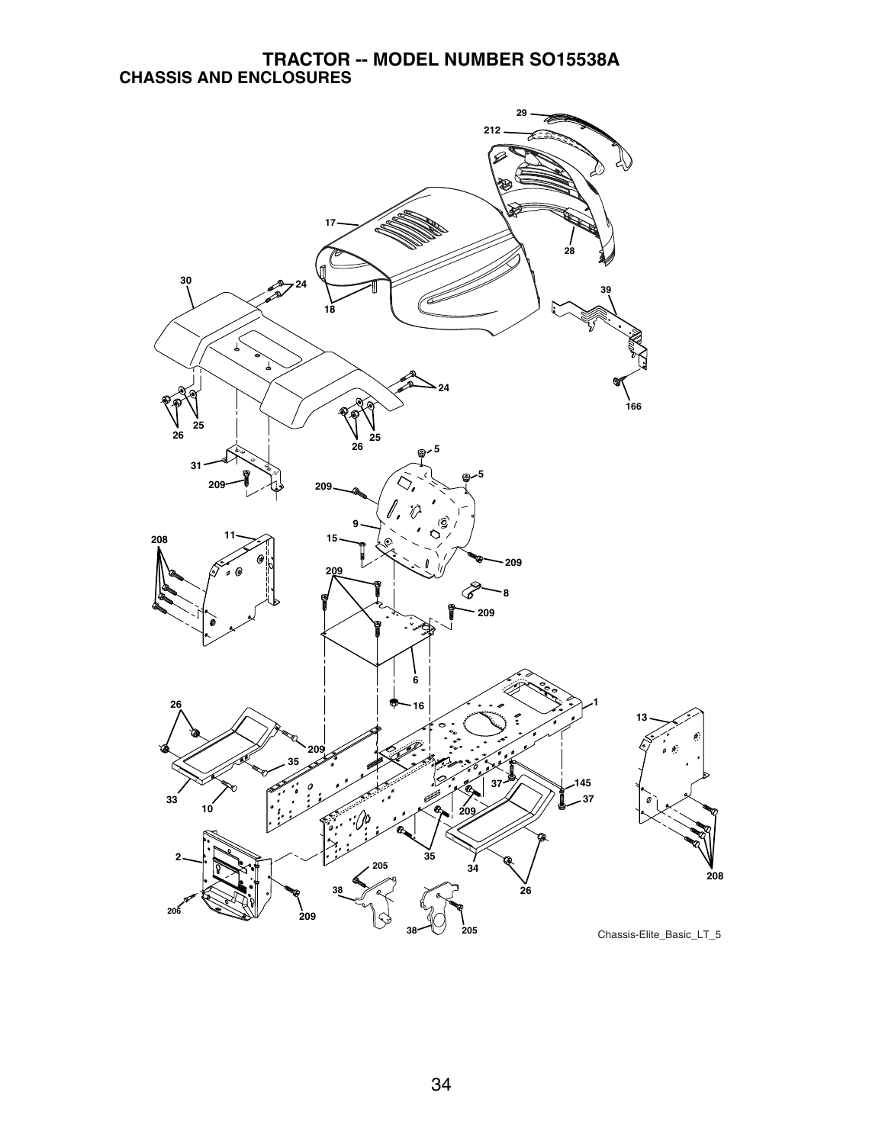#### **TRACTOR -- MODEL NUMBER SO15538A CHASSIS AND ENCLOSURES**

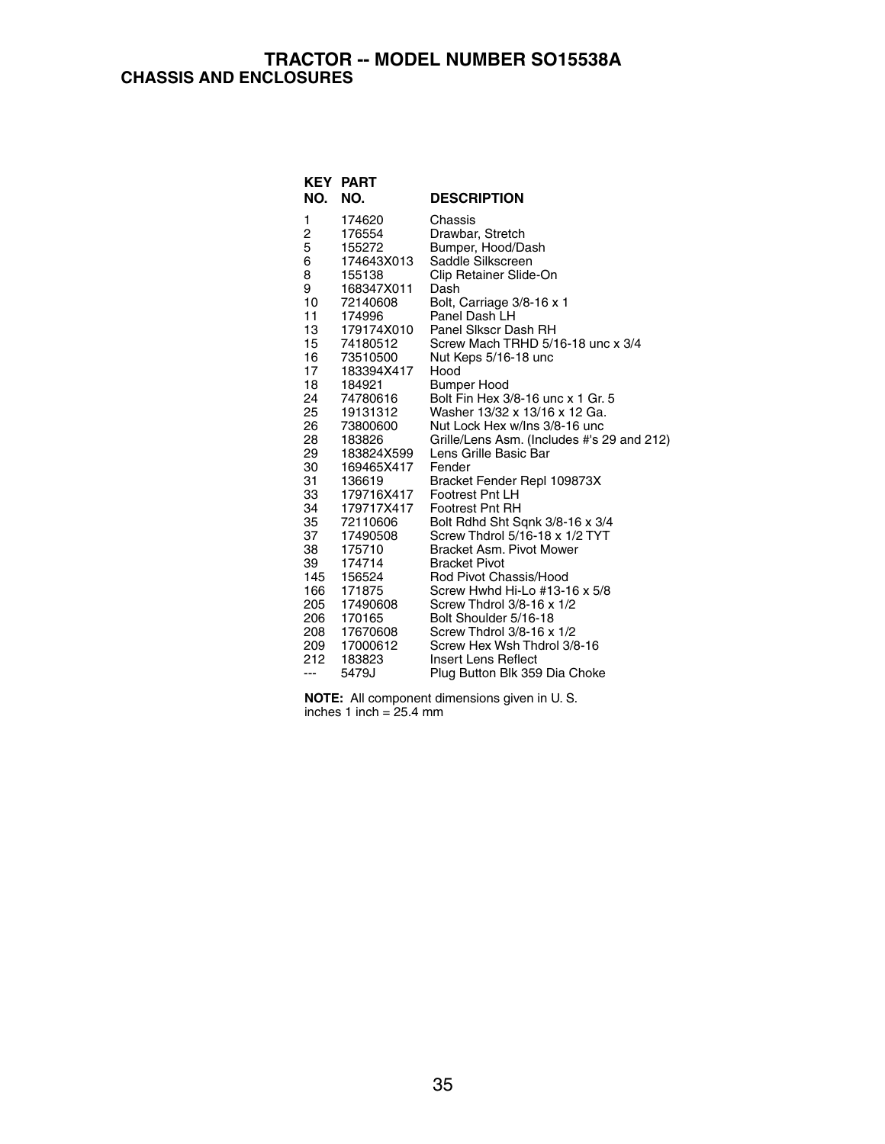#### **TRACTOR -- MODEL NUMBER SO15538A CHASSIS AND ENCLOSURES**

| NO.            | <b>KEY PART</b><br>NO. | <b>DESCRIPTION</b>                             |
|----------------|------------------------|------------------------------------------------|
| 1              | 174620                 | Chassis                                        |
| $\overline{c}$ | 176554                 | Drawbar, Stretch                               |
| 5              | 155272                 | Bumper, Hood/Dash                              |
| 6              | 174643X013             | Saddle Silkscreen                              |
| 8              | 155138                 | Clip Retainer Slide-On                         |
| 9              | 168347X011             | Dash                                           |
| 10             | 72140608               | Bolt, Carriage 3/8-16 x 1                      |
| 11             | 174996                 | Panel Dash LH                                  |
| 13             | 179174X010             | Panel Sikscr Dash RH                           |
| 15             | 74180512               | Screw Mach TRHD 5/16-18 unc x 3/4              |
| 16             | 73510500               | Nut Keps 5/16-18 unc                           |
| 17             | 183394X417             | Hood                                           |
| 18             | 184921                 | Bumper Hood                                    |
| 24             | 74780616               | Bolt Fin Hex 3/8-16 unc x 1 Gr. 5              |
| 25             | 19131312               | Washer 13/32 x 13/16 x 12 Ga.                  |
| 26             | 73800600               | Nut Lock Hex w/Ins 3/8-16 unc                  |
| 28             | 183826                 | Grille/Lens Asm. (Includes #'s 29 and 212)     |
| 29             | 183824X599             | Lens Grille Basic Bar                          |
| 30             | 169465X417             | Fender                                         |
| 31             | 136619                 | Bracket Fender Repl 109873X                    |
| 33             | 179716X417             | <b>Footrest Pnt LH</b>                         |
| 34             | 179717X417             | Footrest Pnt RH                                |
| 35             | 72110606               | Bolt Rdhd Sht Sqnk 3/8-16 x 3/4                |
| 37             | 17490508               | Screw Thdrol 5/16-18 x 1/2 TYT                 |
| 38             | 175710                 | Bracket Asm. Pivot Mower                       |
| 39<br>145      | 174714<br>156524       | <b>Bracket Pivot</b><br>Rod Pivot Chassis/Hood |
| 166            | 171875                 | Screw Hwhd Hi-Lo #13-16 x 5/8                  |
| 205            | 17490608               | Screw Thdrol 3/8-16 x 1/2                      |
| 206            | 170165                 | Bolt Shoulder 5/16-18                          |
| 208            | 17670608               | Screw Thdrol 3/8-16 x 1/2                      |
| 209            | 17000612               | Screw Hex Wsh Thdrol 3/8-16                    |
| 212            | 183823                 | Insert Lens Reflect                            |
| ---            | 5479J                  | Plug Button Blk 359 Dia Choke                  |
|                |                        |                                                |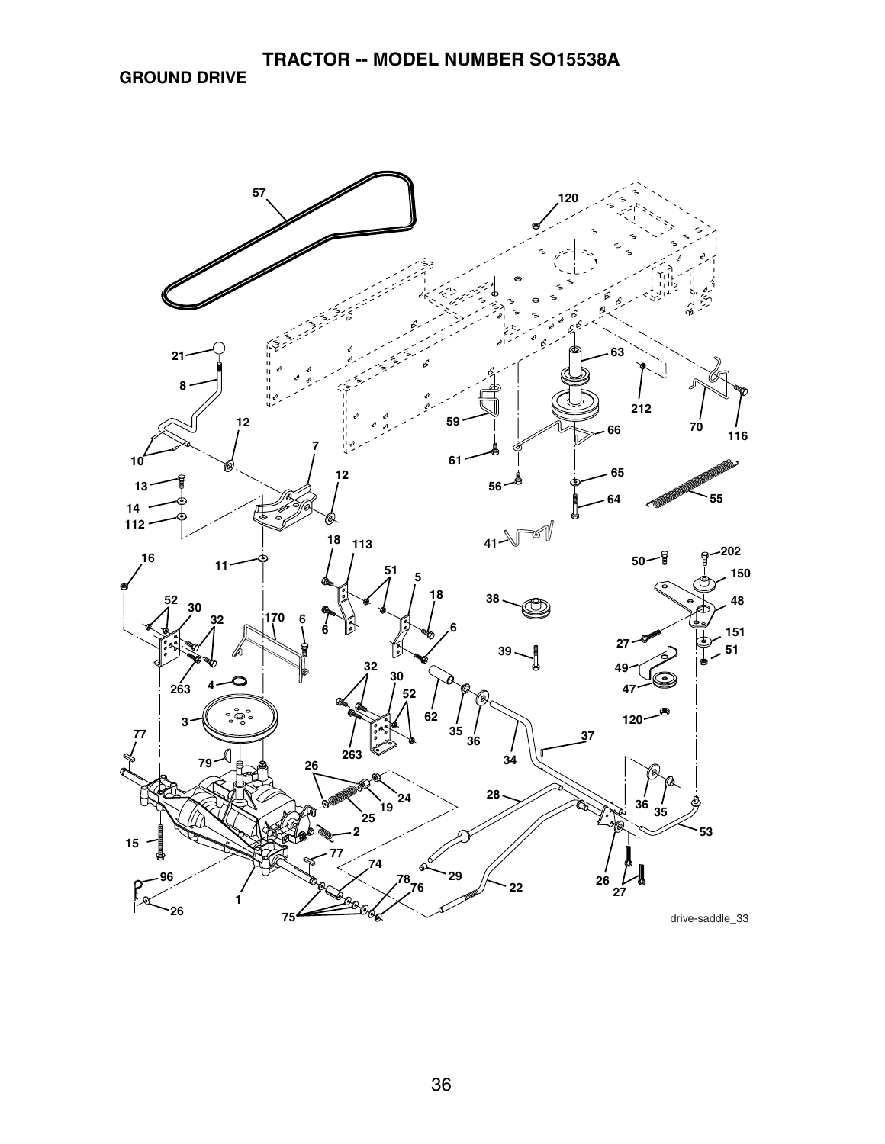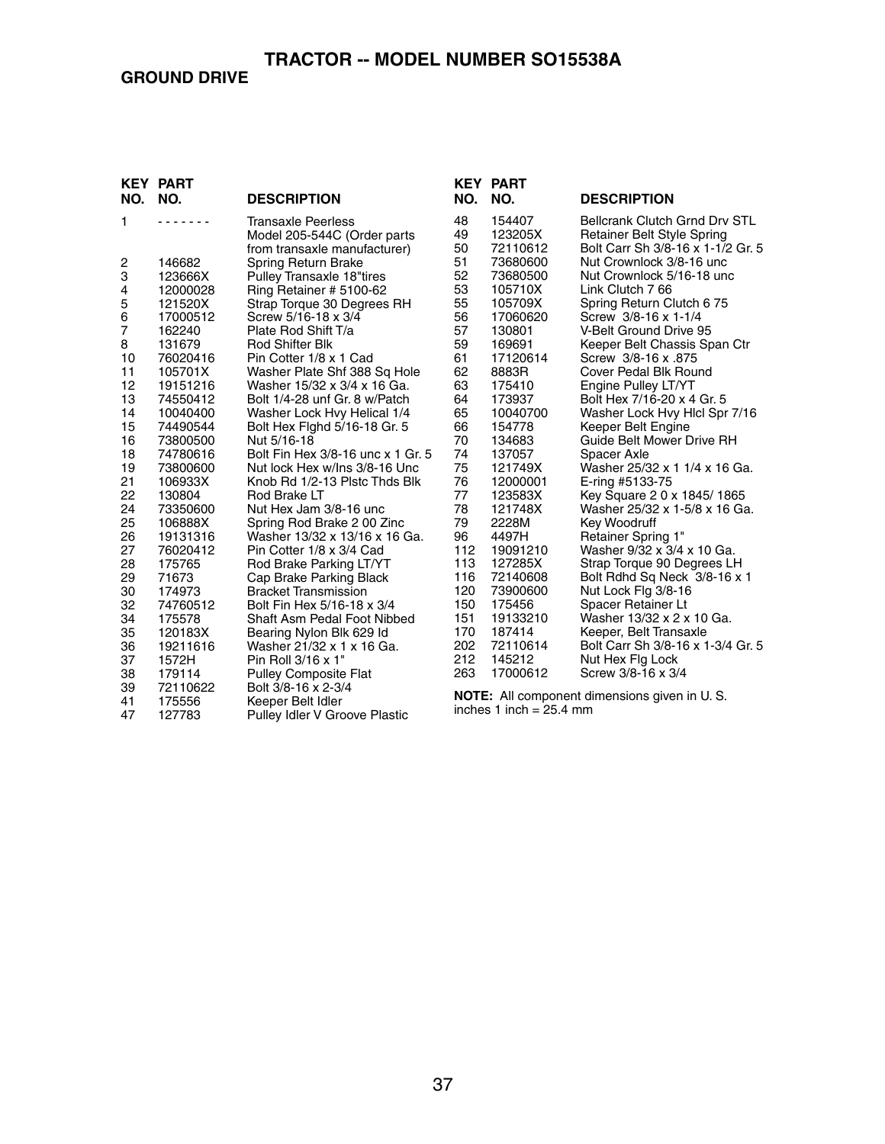#### **GROUND DRIVE**

#### **TRACTOR -- MODEL NUMBER SO15538A**

#### **KEY PART NO. NO. DESCRIPTION KEY PART DESCRIPTION** 1 - - - - - - Transaxle Peerless Model 205-544C (Order parts from transaxle manufacturer)<br>2 146682 Spring Return Brake 2 146682 Spring Return Brake<br>3 123666X Pulley Transaxle 18"t 123666X Pulley Transaxle 18"tires<br>12000028 Ring Retainer # 5100-62 4 12000028 Ring Retainer # 5100-62 5 121520X Strap Torque 30 Degrees RH 6 17000512 Screw 5/16-18 x 3/4 7 162240 Plate Rod Shift T/a<br>8 131679 Rod Shifter Blk 8 131679 Rod Shifter Blk<br>10 76020416 Pin Cotter 1/8 x 76020416 Pin Cotter 1/8 x 1 Cad<br>105701X Washer Plate Shf 388 11 105701X Washer Plate Shf 388 Sq Hole<br>12 19151216 Washer 15/32 x 3/4 x 16 Ga. 12 19151216 Washer 15/32 x 3/4 x 16 Ga. 13 74550412 Bolt 1/4-28 unf Gr. 8 w/Patch 14 10040400 Washer Lock Hvy Helical 1/4<br>15 74490544 Bolt Hex Flahd 5/16-18 Gr. 5 15 74490544 Bolt Hex Flghd 5/16-18 Gr. 5 16 73800500 Nut 5/16-18 18 74780616 Bolt Fin Hex 3/8-16 unc x 1 Gr. 5<br>19 73800600 Nut lock Hex w/Ins 3/8-16 Unc 19 73800600 Nut lock Hex w/Ins 3/8-16 Unc 21 106933X Knob Rd 1/2-13 Plstc Thds Blk 22 130804 Rod Brake LT<br>24 73350600 Nut Hex Jam 24 73350600 Nut Hex Jam 3/8-16 unc Spring Rod Brake 2 00 Zinc 26 19131316 Washer 13/32 x 13/16 x 16 Ga. 27 76020412 Pin Cotter 1/8 x 3/4 Cad<br>28 175765 Rod Brake Parking LT/Y 28 175765 Rod Brake Parking LT/YT<br>29 71673 Cap Brake Parking Black 29 71673 Cap Brake Parking Black<br>30 174973 Bracket Transmission 30 174973 Bracket Transmission 32 74760512 Bolt Fin Hex 5/16-18 x 3/4 34 175578 Shaft Asm Pedal Foot Nibbed<br>35 120183X Bearing Nylon Blk 629 Id 35 120183X Bearing Nylon Blk 629 Id 36 19211616 Washer 21/32 x 1 x 16 Ga. 37 1572H Pin Roll 3/16 x 1" 38 179114 Pulley Composite Flat<br>39 72110622 Bolt 3/8-16 x 2-3/4 39 72110622 Bolt 3/8-16 x 2-3/4 41 175556 Keeper Belt Idler<br>47 127783 Pulley Idler V Gro Pulley Idler V Groove Plastic 48 154407 Bellcrank Clutch Grnd Drv STL<br>49 123205X Retainer Belt Style Spring 49 123205X Retainer Belt Style Spring 72110612 Bolt Carr Sh 3/8-16 x 1-1/2 Gr. 5<br>73680600 Nut Crownlock 3/8-16 unc 51 73680600 Nut Crownlock 3/8-16 unc 52 73680500 Nut Crownlock 5/16-18 unc<br>53 105710X Link Clutch 766 53 105710X Link Clutch 7 66 55 105709X Spring Return Clutch 6 75<br>56 17060620 Screw 3/8-16 x 1-1/4 56 17060620 Screw 3/8-16 x 1-1/4 57 130801 V-Belt Ground Drive 95 59 169691 Keeper Belt Chassis Span Ctr<br>61 17120614 Screw 3/8-16 x .875 61 17120614 Screw 3/8-16 x .875 8883R Cover Pedal Blk Round<br>175410 Engine Pulley LT/YT 63 175410 Engine Pulley LT/YT 64 173937 Bolt Hex 7/16-20 x 4 Gr. 5 65 10040700 Washer Lock Hvy Hlcl Spr 7/16<br>66 154778 Keeper Belt Engine 66 154778 Keeper Belt Engine 70 134683 Guide Belt Mower Drive RH 74 137057 Spacer Axle 75 121749X Washer 25/32 x 1 1/4 x 16 Ga. 76 12000001 E-ring #5133-75 77 123583X Key Square 2 0 x 1845/ 1865 78 121748X Washer 25/32 x 1-5/8 x 16 Ga. 79 2228M Key Woodruff<br>96 4497H Retainer Sprin 96 4497H Retainer Spring 1"<br>112 19091210 Washer 9/32 x 3/4 112 19091210 Washer 9/32 x 3/4 x 10 Ga. 113 127285X Strap Torque 90 Degrees LH 72140608 Bolt Rdhd Sq Neck 3/8-16 x 1<br>73900600 Nut Lock Fla 3/8-16 120 73900600 Nut Lock Flg 3/8-16 150 175456 Spacer Retainer Lt<br>151 19133210 Washer 13/32 x 2 x Washer 13/32 x 2 x 10 Ga. 170 187414 Keeper, Belt Transaxle<br>202 72110614 Bolt Carr Sh 3/8-16 x 1 202 72110614 Bolt Carr Sh 3/8-16 x 1-3/4 Gr. 5<br>212 145212 Nut Hex Fig Lock 145212 Nut Hex Flg Lock<br>17000612 Screw 3/8-16 x 3/ 263 17000612 Screw 3/8-16 x 3/4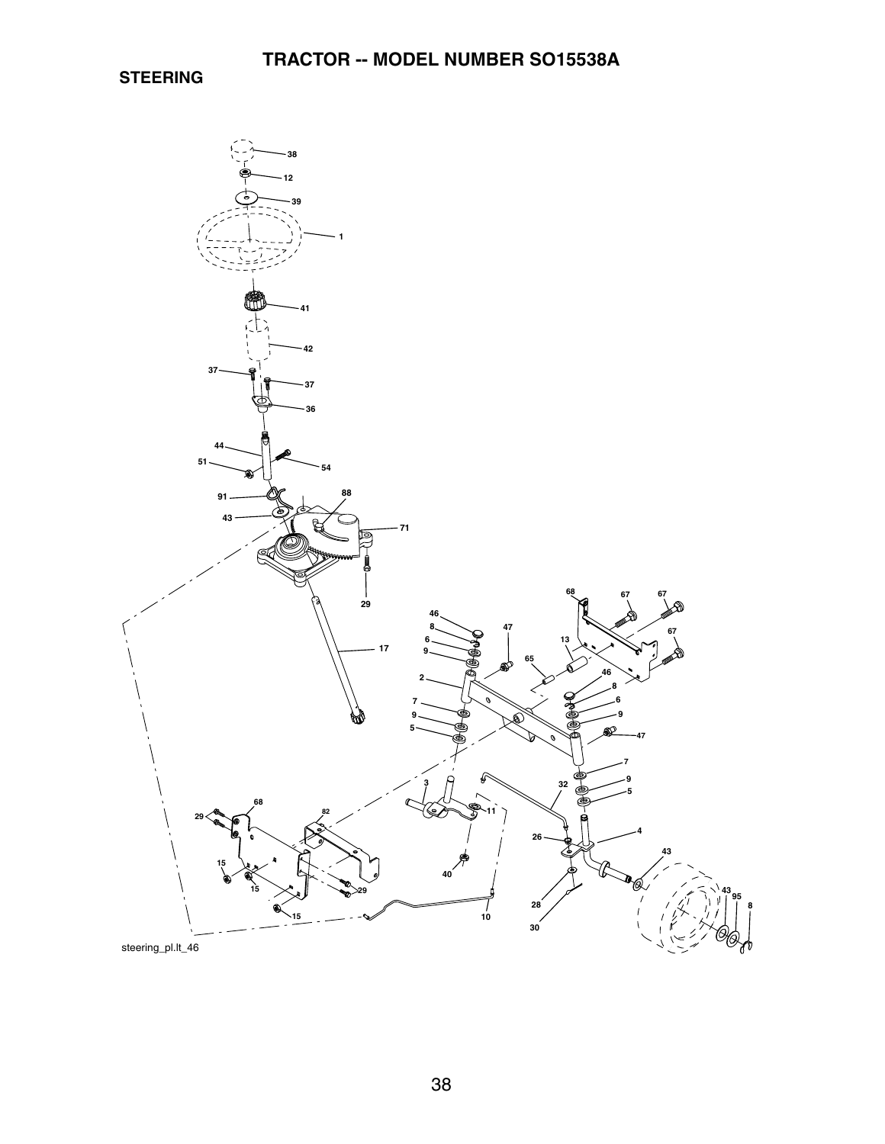**STEERING**



steering\_pl.lt\_46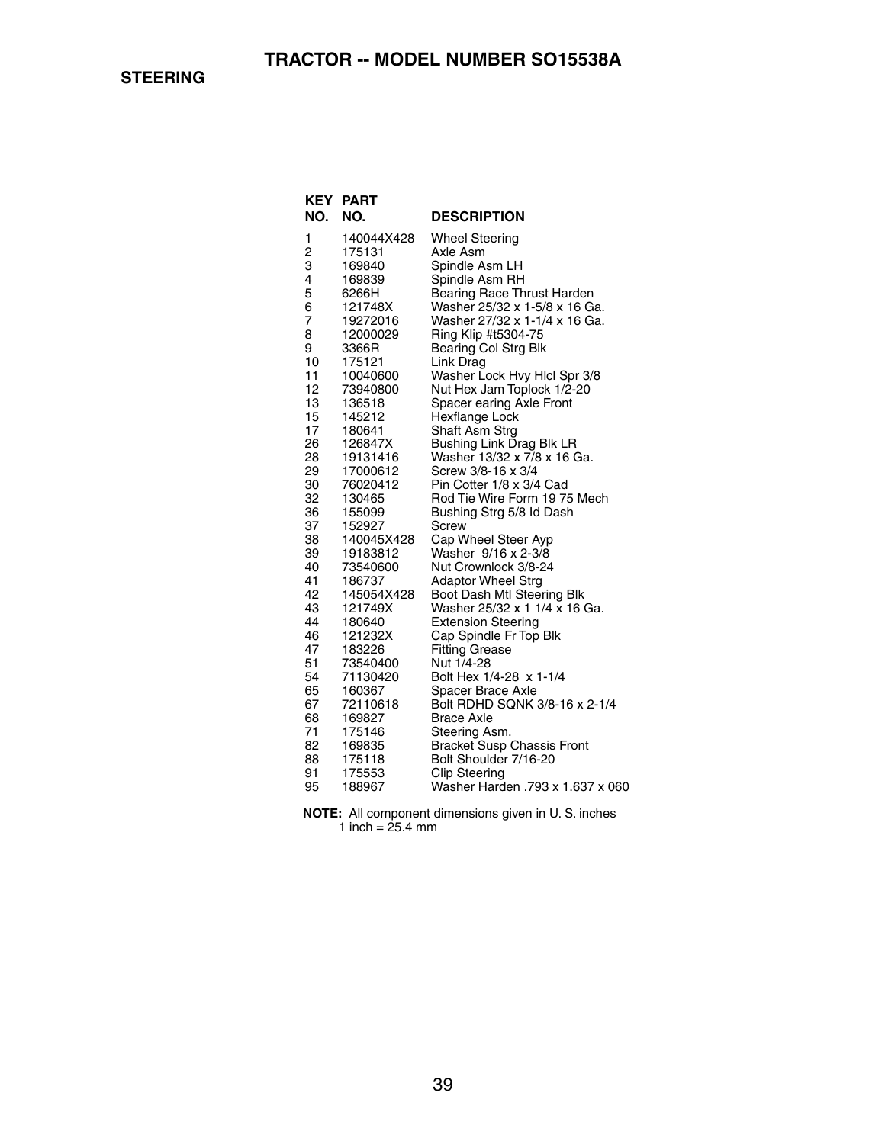| NO.<br>NO.                                                                                                                                                                                                                                                                                                                                                                                                                                                                                                                                                                                                                                         |                                                                                                                                                                                                                                                                                                                                                                                                                                                                                                                                                                                                                                                                                                                                                                                                                                                                                                                                        |
|----------------------------------------------------------------------------------------------------------------------------------------------------------------------------------------------------------------------------------------------------------------------------------------------------------------------------------------------------------------------------------------------------------------------------------------------------------------------------------------------------------------------------------------------------------------------------------------------------------------------------------------------------|----------------------------------------------------------------------------------------------------------------------------------------------------------------------------------------------------------------------------------------------------------------------------------------------------------------------------------------------------------------------------------------------------------------------------------------------------------------------------------------------------------------------------------------------------------------------------------------------------------------------------------------------------------------------------------------------------------------------------------------------------------------------------------------------------------------------------------------------------------------------------------------------------------------------------------------|
|                                                                                                                                                                                                                                                                                                                                                                                                                                                                                                                                                                                                                                                    | <b>DESCRIPTION</b>                                                                                                                                                                                                                                                                                                                                                                                                                                                                                                                                                                                                                                                                                                                                                                                                                                                                                                                     |
| 140044X428<br>1<br>2<br>175131<br>3<br>169840<br>4<br>169839<br>5<br>6266H<br>6<br>121748X<br>7<br>19272016<br>8<br>12000029<br>9<br>3366R<br>10<br>175121<br>11<br>10040600<br>12<br>73940800<br>13<br>136518<br>15<br>145212<br>17<br>180641<br>26<br>126847X<br>28<br>19131416<br>29<br>17000612<br>30<br>76020412<br>32<br>130465<br>36<br>155099<br>37<br>152927<br>Screw<br>38<br>140045X428<br>39<br>19183812<br>40<br>73540600<br>41<br>186737<br>42<br>145054X428<br>43<br>121749X<br>44<br>180640<br>46<br>121232X<br>47<br>183226<br>51<br>73540400<br>54<br>71130420<br>65<br>160367<br>67<br>72110618<br>68<br>169827<br>71<br>175146 | <b>Wheel Steering</b><br>Axle Asm<br>Spindle Asm LH<br>Spindle Asm RH<br>Bearing Race Thrust Harden<br>Washer 25/32 x 1-5/8 x 16 Ga.<br>Washer 27/32 x 1-1/4 x 16 Ga.<br>Ring Klip #t5304-75<br><b>Bearing Col Strg Blk</b><br>Link Drag<br>Washer Lock Hvy Hlcl Spr 3/8<br>Nut Hex Jam Toplock 1/2-20<br>Spacer earing Axle Front<br>Hexflange Lock<br>Shaft Asm Strg<br>Bushing Link Drag Blk LR<br>Washer 13/32 x 7/8 x 16 Ga.<br>Screw 3/8-16 x 3/4<br>Pin Cotter 1/8 x 3/4 Cad<br>Rod Tie Wire Form 19 75 Mech<br>Bushing Strg 5/8 Id Dash<br>Cap Wheel Steer Ayp<br>Washer 9/16 x 2-3/8<br>Nut Crownlock 3/8-24<br><b>Adaptor Wheel Strg</b><br>Boot Dash Mtl Steering Blk<br>Washer 25/32 x 1 1/4 x 16 Ga.<br><b>Extension Steering</b><br>Cap Spindle Fr Top Blk<br><b>Fitting Grease</b><br>Nut 1/4-28<br>Bolt Hex 1/4-28 x 1-1/4<br>Spacer Brace Axle<br>Bolt RDHD SQNK 3/8-16 x 2-1/4<br><b>Brace Axle</b><br>Steering Asm. |

| <b>NOTE:</b> All component dimensions given in U.S. inches |
|------------------------------------------------------------|
| 1 inch = $25.4 \, \text{mm}$                               |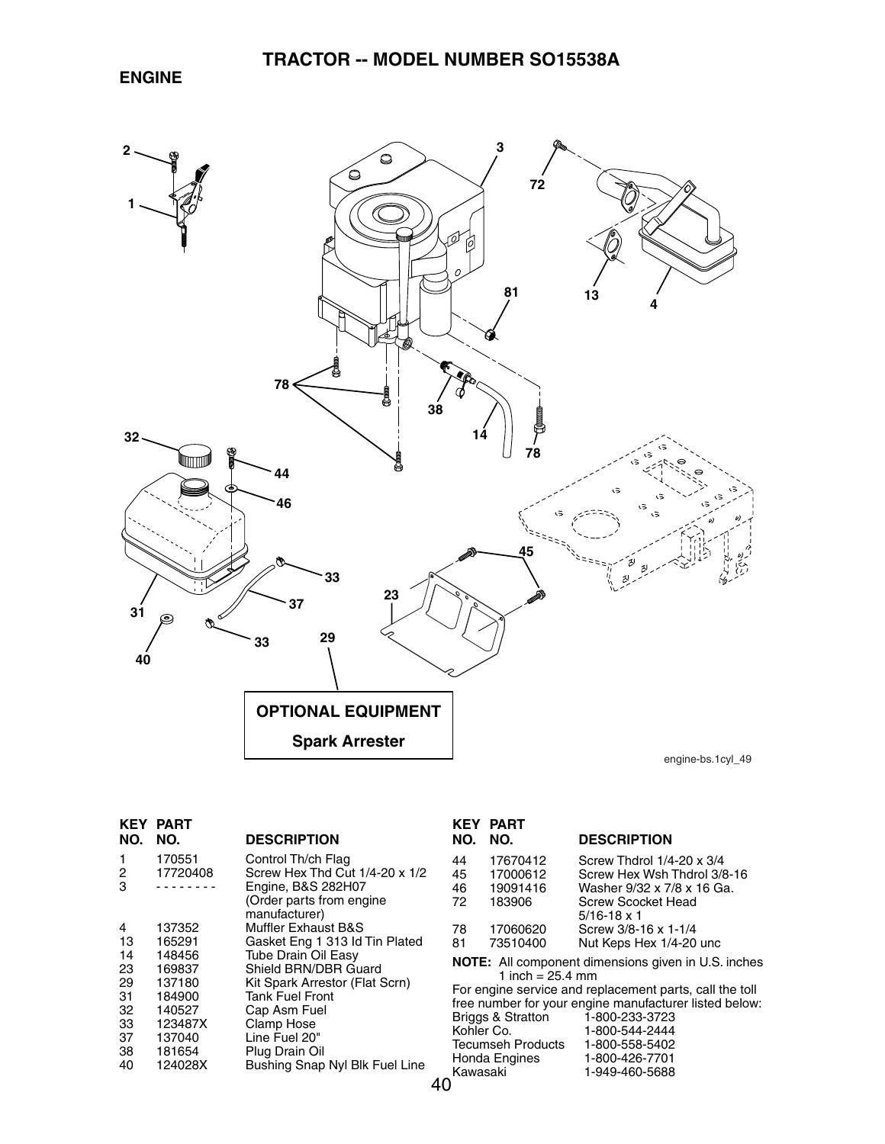**ENGINE**



|          | <b>KEY PART</b>  |                                                          |            | <b>KEY PART</b>    |                                                            |
|----------|------------------|----------------------------------------------------------|------------|--------------------|------------------------------------------------------------|
| NO.      | NO.              | <b>DESCRIPTION</b>                                       | NO.        | NO.                | <b>DESCRIPTION</b>                                         |
|          | 170551           | Control Th/ch Flag                                       | 44         | 17670412           | Screw Thdrol 1/4-20 x 3/4                                  |
| 2        | 17720408         | Screw Hex Thd Cut 1/4-20 x 1/2                           | 45         | 17000612           | Screw Hex Wsh Thdrol 3/8-16                                |
| 3        | .                | Engine, B&S 282H07                                       | 46         | 19091416           | Washer 9/32 x 7/8 x 16 Ga.                                 |
|          |                  | (Order parts from engine)                                | 72         | 183906             | Screw Scocket Head                                         |
|          |                  | manufacturer)                                            |            |                    | $5/16 - 18 \times 1$                                       |
| 4        | 137352           | Muffler Exhaust B&S                                      | 78         | 17060620           | Screw 3/8-16 x 1-1/4                                       |
| 13       | 165291           | Gasket Eng 1 313 Id Tin Plated                           | 81         | 73510400           | Nut Keps Hex 1/4-20 unc                                    |
| 14<br>23 | 148456<br>169837 | Tube Drain Oil Easy<br>Shield BRN/DBR Guard              |            | 1 inch = $25.4$ mm | <b>NOTE:</b> All component dimensions given in U.S. inches |
| 29<br>31 | 137180<br>184900 | Kit Spark Arrestor (Flat Scrn)<br><b>Tank Fuel Front</b> |            |                    | For engine service and replacement parts, call the toll    |
|          |                  |                                                          |            |                    | free number for your engine manufacturer listed below:     |
| 32       | 140527           | Cap Asm Fuel                                             |            | Briggs & Stratton  | 1-800-233-3723                                             |
| 33       | 123487X          | Clamp Hose                                               | Kohler Co. |                    | 1-800-544-2444                                             |
| 37       | 137040           | Line Fuel 20"                                            |            | Tecumseh Products  | 1-800-558-5402                                             |
| 38       | 181654           | Plug Drain Oil                                           |            | Honda Engines      | 1-800-426-7701                                             |
| 40       | 124028X          | Bushing Snap Nyl Blk Fuel Line                           | Kawasaki   |                    | 1-949-460-5688                                             |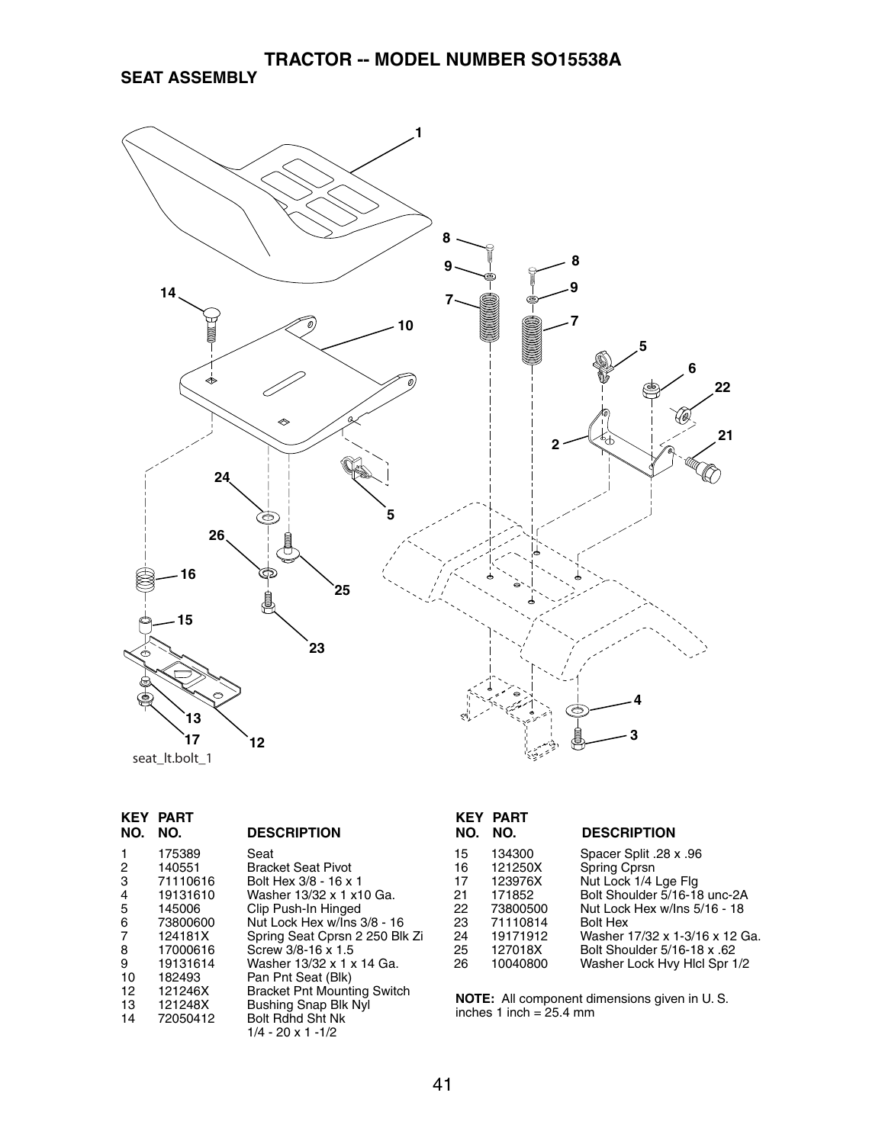**TRACTOR -- MODEL NUMBER SO15538A**



| NO. NO.                                                           | <b>KEY PART</b>                                                                                                                               | <b>DESCRIPTION</b>                                                                                                                                                                                                                                                                                                                               |
|-------------------------------------------------------------------|-----------------------------------------------------------------------------------------------------------------------------------------------|--------------------------------------------------------------------------------------------------------------------------------------------------------------------------------------------------------------------------------------------------------------------------------------------------------------------------------------------------|
| 1<br>2<br>3<br>4<br>5<br>6<br>7<br>8<br>9<br>10<br>12<br>13<br>14 | 175389<br>140551<br>71110616<br>19131610<br>145006<br>73800600<br>124181X<br>17000616<br>19131614<br>182493<br>121246X<br>121248X<br>72050412 | Seat<br><b>Bracket Seat Pivot</b><br>Bolt Hex 3/8 - 16 x 1<br>Washer 13/32 x 1 x10 Ga.<br>Clip Push-In Hinged<br>Nut Lock Hex w/Ins 3/8 - 16<br>Spring Seat Cprsn 2 250 Blk Zi<br>Screw 3/8-16 x 1.5<br>Washer 13/32 x 1 x 14 Ga.<br>Pan Pnt Seat (Blk)<br><b>Bracket Pnt Mounting Switch</b><br>Bushing Snap Blk Nyl<br><b>Bolt Rdhd Sht Nk</b> |
|                                                                   |                                                                                                                                               | $1/4 - 20 \times 1 - 1/2$                                                                                                                                                                                                                                                                                                                        |

| NO. | KEY PART<br>NO. | <b>DESCRIPTION</b>             |
|-----|-----------------|--------------------------------|
| 15  | 134300          | Spacer Split .28 x .96         |
| 16  | 121250X         | Spring Cprsn                   |
| 17  | 123976X         | Nut Lock 1/4 Lge Flg           |
| 21  | 171852          | Bolt Shoulder 5/16-18 unc-2A   |
| 22  | 73800500        | Nut Lock Hex w/Ins 5/16 - 18   |
| 23  | 71110814        | <b>Bolt Hex</b>                |
| 24  | 19171912        | Washer 17/32 x 1-3/16 x 12 Ga. |
| 25  | 127018X         | Bolt Shoulder 5/16-18 x .62    |
| 26  | 10040800        | Washer Lock Hvy Hicl Spr 1/2   |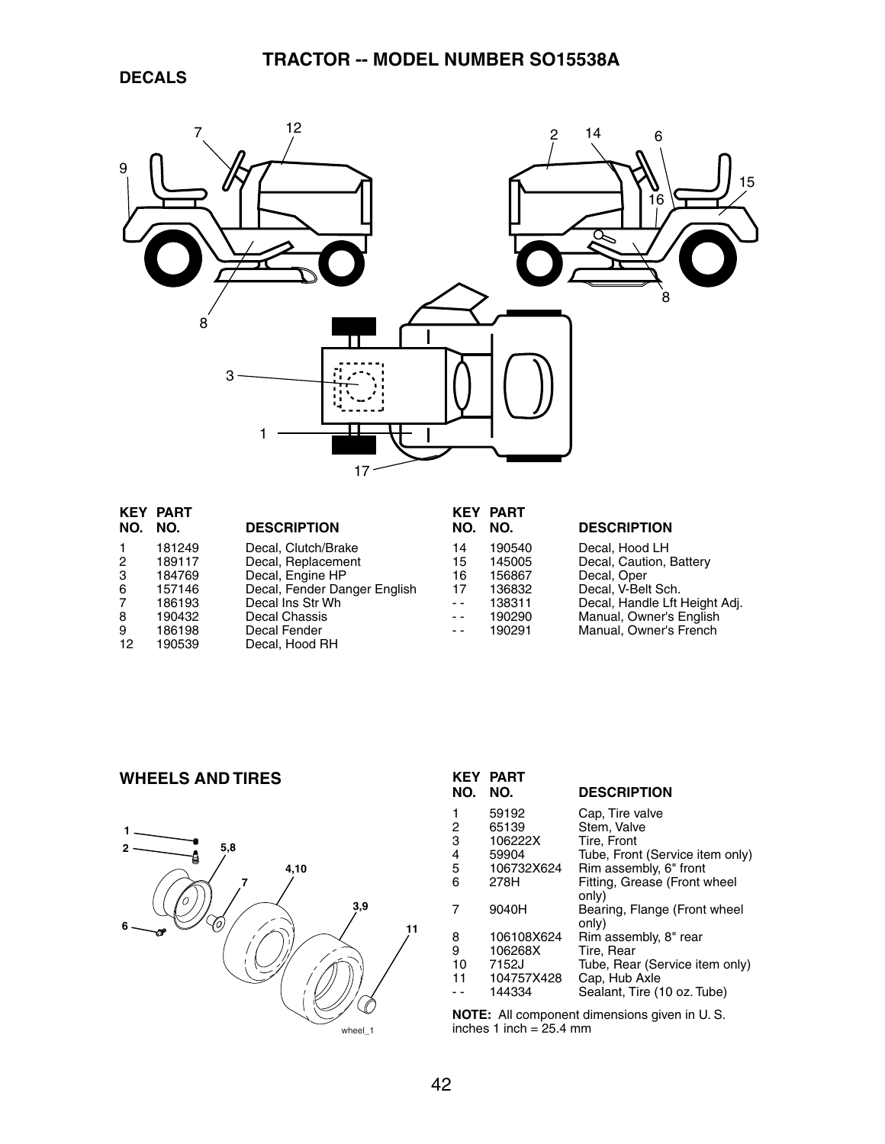

|     | <b>KEY PART</b> |                              |                | <b>KEY PART</b> |                               |
|-----|-----------------|------------------------------|----------------|-----------------|-------------------------------|
| NO. | NO.             | <b>DESCRIPTION</b>           | <b>NO. NO.</b> |                 | <b>DESCRIPTION</b>            |
|     | 181249          | Decal, Clutch/Brake          | 14             | 190540          | Decal, Hood LH                |
| 2   | 189117          | Decal, Replacement           | 15             | 145005          | Decal, Caution, Battery       |
| 3   | 184769          | Decal, Engine HP             | 16             | 156867          | Decal, Oper                   |
| 6   | 157146          | Decal, Fender Danger English | 17             | 136832          | Decal, V-Belt Sch.            |
| 7   | 186193          | Decal Ins Str Wh             | $ -$           | 138311          | Decal, Handle Lft Height Adj. |
| 8   | 190432          | Decal Chassis                | $ -$           | 190290          | Manual, Owner's English       |
| 9   | 186198          | Decal Fender                 | $ -$           | 190291          | Manual, Owner's French        |
| 12  | 190539          | Decal, Hood RH               |                |                 |                               |

**WHEELS AND TIRES**



| NO. | <b>KEY PART</b><br>NO. | <b>DESCRIPTION</b>                    |
|-----|------------------------|---------------------------------------|
| 1   | 59192                  | Cap, Tire valve                       |
| 2   | 65139                  | Stem, Valve                           |
| 3   | 106222X                | Tire. Front                           |
| 4   | 59904                  | Tube, Front (Service item only)       |
| 5   | 106732X624             | Rim assembly, 6" front                |
| 6   | 278H                   | Fitting, Grease (Front wheel<br>only) |
|     | 9040H                  | Bearing, Flange (Front wheel<br>only) |
| 8   | 106108X624             | Rim assembly, 8" rear                 |
| 9   | 106268X                | Tire, Rear                            |
| 10  | 7152J                  | Tube, Rear (Service item only)        |
| 11  | 104757X428             | Cap, Hub Axle                         |
|     | 144334                 | Sealant, Tire (10 oz. Tube)           |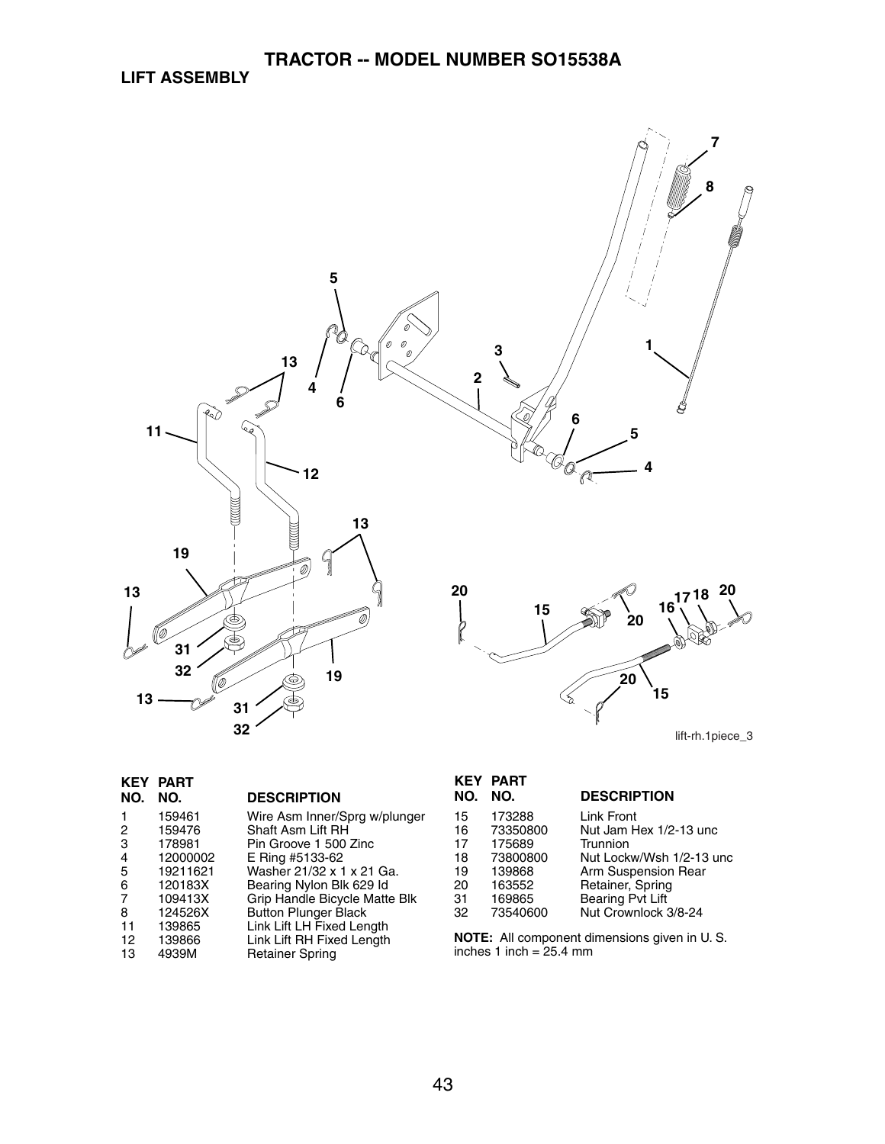

lift-rh.1piece\_3

|     | <b>KEY PART</b> |                               |
|-----|-----------------|-------------------------------|
| NO. | NO.             | <b>DESCRIPTION</b>            |
| 1   | 159461          | Wire Asm Inner/Sprg w/plunger |
| 2   | 159476          | Shaft Asm Lift RH             |
| 3   | 178981          | Pin Groove 1 500 Zinc         |
| 4   | 12000002        | E Ring #5133-62               |
| 5   | 19211621        | Washer 21/32 x 1 x 21 Ga.     |
| 6   | 120183X         | Bearing Nylon Blk 629 Id      |
| 7   | 109413X         | Grip Handle Bicycle Matte Blk |
| 8   | 124526X         | <b>Button Plunger Black</b>   |
| 11  | 139865          | Link Lift LH Fixed Length     |
| 12  | 139866          | Link Lift RH Fixed Length     |
| 13  | 4939M           | <b>Retainer Spring</b>        |

|     | <b>KEY PART</b> |                          |
|-----|-----------------|--------------------------|
| NO. | NO.             | <b>DESCRIPTION</b>       |
| 15  | 173288          | Link Front               |
| 16  | 73350800        | Nut Jam Hex 1/2-13 unc   |
| 17  | 175689          | Trunnion                 |
| 18  | 73800800        | Nut Lockw/Wsh 1/2-13 unc |
| 19  | 139868          | Arm Suspension Rear      |
| 20  | 163552          | Retainer, Spring         |
| 31  | 169865          | Bearing Pvt Lift         |
| 32  | 73540600        | Nut Crownlock 3/8-24     |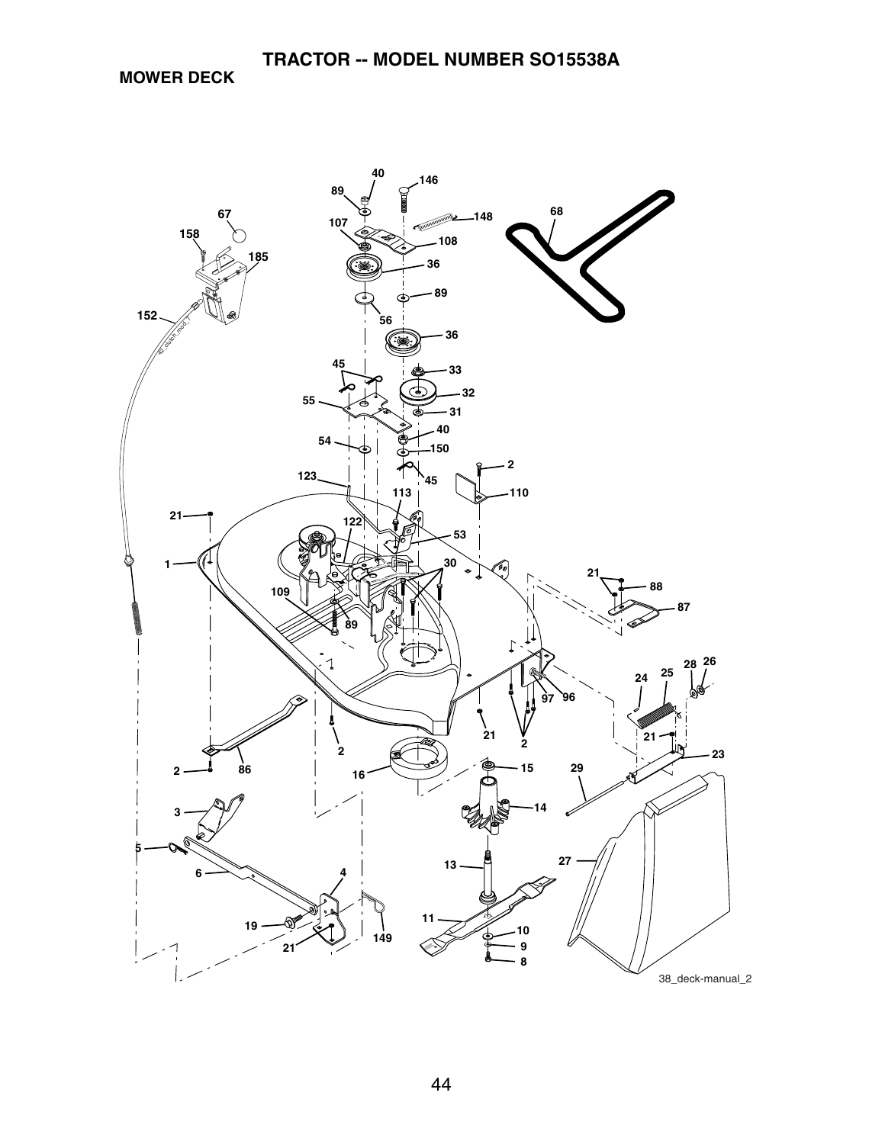**MOWER DECK**